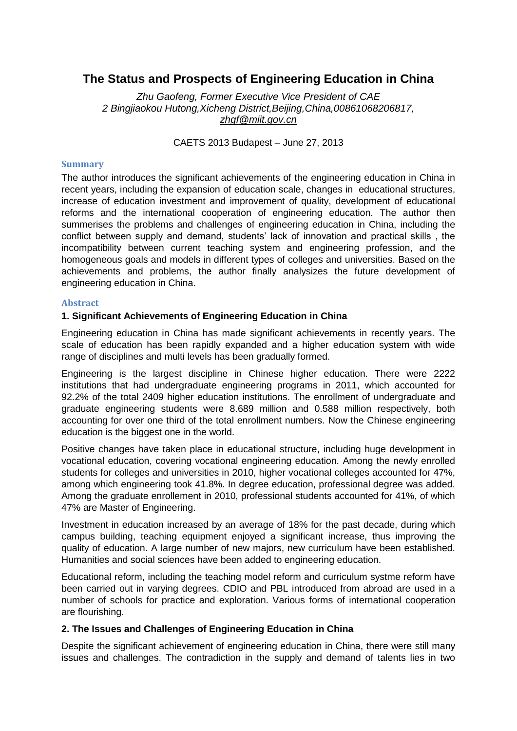# **The Status and Prospects of Engineering Education in China**

*Zhu Gaofeng, Former Executive Vice President of CAE 2 Bingjiaokou Hutong,Xicheng District,Beijing,China,00861068206817, [zhgf@miit.gov.cn](mailto:zhgf@miit.gov.cn)*

CAETS 2013 Budapest – June 27, 2013

#### **Summary**

The author introduces the significant achievements of the engineering education in China in recent years, including the expansion of education scale, changes in educational structures, increase of education investment and improvement of quality, development of educational reforms and the international cooperation of engineering education. The author then summerises the problems and challenges of engineering education in China, including the conflict between supply and demand, students' lack of innovation and practical skills , the incompatibility between current teaching system and engineering profession, and the homogeneous goals and models in different types of colleges and universities. Based on the achievements and problems, the author finally analysizes the future development of engineering education in China.

### **Abstract**

### **1. Significant Achievements of Engineering Education in China**

Engineering education in China has made significant achievements in recently years. The scale of education has been rapidly expanded and a higher education system with wide range of disciplines and multi levels has been gradually formed.

Engineering is the largest discipline in Chinese higher education. There were 2222 institutions that had undergraduate engineering programs in 2011, which accounted for 92.2% of the total 2409 higher education institutions. The enrollment of undergraduate and graduate engineering students were 8.689 million and 0.588 million respectively, both accounting for over one third of the total enrollment numbers. Now the Chinese engineering education is the biggest one in the world.

Positive changes have taken place in educational structure, including huge development in vocational education, covering vocational engineering education. Among the newly enrolled students for colleges and universities in 2010, higher vocational colleges accounted for 47%, among which engineering took 41.8%. In degree education, professional degree was added. Among the graduate enrollement in 2010, professional students accounted for 41%, of which 47% are Master of Engineering.

Investment in education increased by an average of 18% for the past decade, during which campus building, teaching equipment enjoyed a significant increase, thus improving the quality of education. A large number of new majors, new curriculum have been established. Humanities and social sciences have been added to engineering education.

Educational reform, including the teaching model reform and curriculum systme reform have been carried out in varying degrees. CDIO and PBL introduced from abroad are used in a number of schools for practice and exploration. Various forms of international cooperation are flourishing.

## **2. The Issues and Challenges of Engineering Education in China**

Despite the significant achievement of engineering education in China, there were still many issues and challenges. The contradiction in the supply and demand of talents lies in two